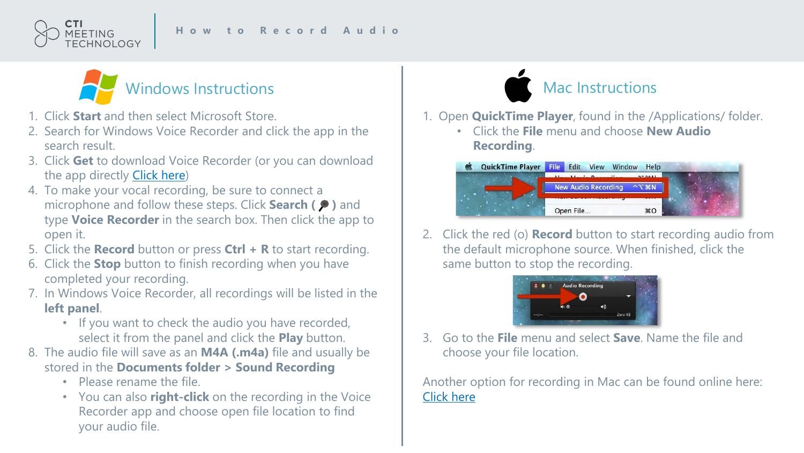



- 1. Click **Start** and then select Microsoft Store.
- 2. Search for Windows Voice Recorder and click the app in the search result.
- 3. Click **Get** to download Voice Recorder (or you can download the app directly [Click here](https://www.microsoft.com/en-us/p/windows-voice-recorder/9wzdncrfhwkn?activetab=pivot:overviewtab))
- 4. To make your vocal recording, be sure to connect a microphone and follow these steps. Click **Search (P)** and type **Voice Recorder** in the search box. Then click the app to open it.
- 5. Click the **Record** button or press **Ctrl + R** to start recording.
- 6. Click the **Stop** button to finish recording when you have completed your recording.
- 7. In Windows Voice Recorder, all recordings will be listed in the **left panel**.
	- If you want to check the audio you have recorded, select it from the panel and click the **Play** button.
- 8. The audio file will save as an **M4A (.m4a)** file and usually be stored in the **Documents folder > Sound Recording**
	- Please rename the file.
	- You can also **right-click** on the recording in the Voice Recorder app and choose open file location to find your audio file.



- 1. Open **QuickTime Player**, found in the /Applications/ folder.
	- Click the **File** menu and choose **New Audio Recording**.



2. Click the red (o) **Record** button to start recording audio from the default microphone source. When finished, click the same button to stop the recording.



3. Go to the **File** menu and select **Save**. Name the file and choose your file location.

Another option for recording in Mac can be found online here: [Click here](https://support.apple.com/en-il/guide/voice-memos/vmaa4b813415/mac)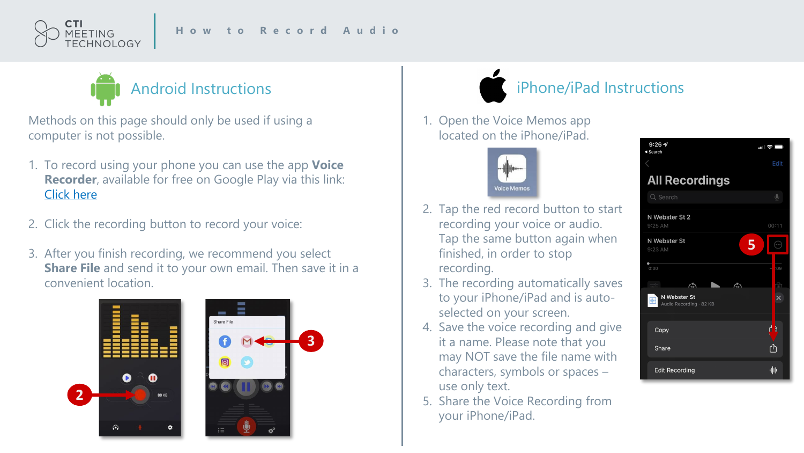



Methods on this page should only be used if using a computer is not possible.

- 1. To record using your phone you can use the app **Voice Recorder**, available for free on Google Play via this link: [Click here](https://play.google.com/store/apps/details?id=com.media.bestrecorder.audiorecorder&hl=en_US)
- 2. Click the recording button to record your voice:
- 3. After you finish recording, we recommend you select **Share File** and send it to your own email. Then save it in a convenient location.



## iPhone/iPad Instructions

1. Open the Voice Memos app located on the iPhone/iPad.



- 2. Tap the red record button to start recording your voice or audio. Tap the same button again when finished, in order to stop recording.
- 3. The recording automatically saves to your iPhone/iPad and is autoselected on your screen.
- 4. Save the voice recording and give it a name. Please note that you may NOT save the file name with characters, symbols or spaces – use only text.
- 5. Share the Voice Recording from your iPhone/iPad.